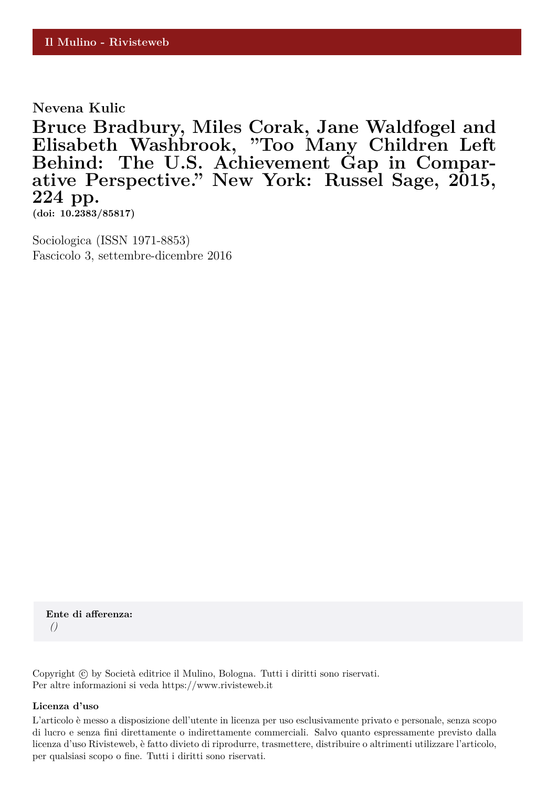**Nevena Kulic**

**Bruce Bradbury, Miles Corak, Jane Waldfogel and Elisabeth Washbrook, "Too Many Children Left Behind: The U.S. Achievement Gap in Comparative Perspective." New York: Russel Sage, 2015, 224 pp.**

**(doi: 10.2383/85817)**

Sociologica (ISSN 1971-8853) Fascicolo 3, settembre-dicembre 2016

**Ente di afferenza:** *()*

Copyright © by Società editrice il Mulino, Bologna. Tutti i diritti sono riservati. Per altre informazioni si veda https://www.rivisteweb.it

## **Licenza d'uso**

L'articolo è messo a disposizione dell'utente in licenza per uso esclusivamente privato e personale, senza scopo di lucro e senza fini direttamente o indirettamente commerciali. Salvo quanto espressamente previsto dalla licenza d'uso Rivisteweb, è fatto divieto di riprodurre, trasmettere, distribuire o altrimenti utilizzare l'articolo, per qualsiasi scopo o fine. Tutti i diritti sono riservati.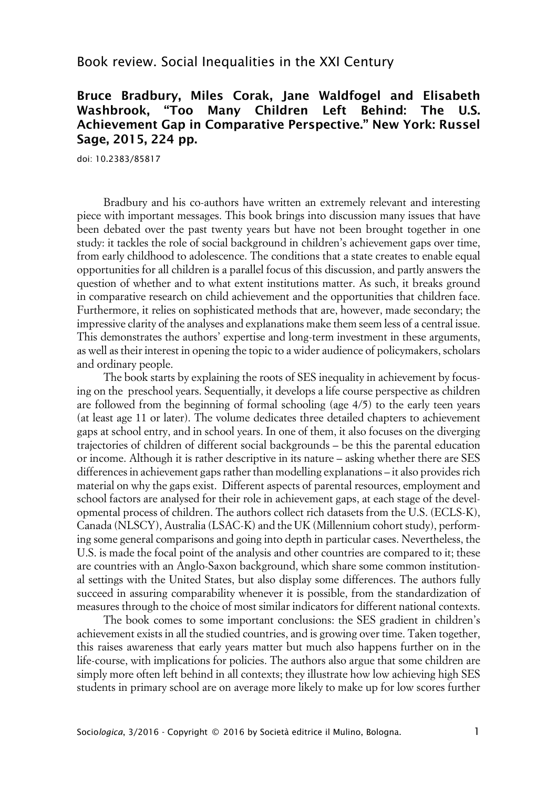## Book review. Social Inequalities in the XXI Century

## **Bruce Bradbury, Miles Corak, Jane Waldfogel and Elisabeth Washbrook, "Too Many Children Left Behind: The U.S. Achievement Gap in Comparative Perspective." New York: Russel Sage, 2015, 224 pp.**

doi: 10.2383/85817

Bradbury and his co-authors have written an extremely relevant and interesting piece with important messages. This book brings into discussion many issues that have been debated over the past twenty years but have not been brought together in one study: it tackles the role of social background in children's achievement gaps over time, from early childhood to adolescence. The conditions that a state creates to enable equal opportunities for all children is a parallel focus of this discussion, and partly answers the question of whether and to what extent institutions matter. As such, it breaks ground in comparative research on child achievement and the opportunities that children face. Furthermore, it relies on sophisticated methods that are, however, made secondary; the impressive clarity of the analyses and explanations make them seem less of a central issue. This demonstrates the authors' expertise and long-term investment in these arguments, as well as their interest in opening the topic to a wider audience of policymakers, scholars and ordinary people.

The book starts by explaining the roots of SES inequality in achievement by focusing on the preschool years. Sequentially, it develops a life course perspective as children are followed from the beginning of formal schooling (age 4/5) to the early teen years (at least age 11 or later). The volume dedicates three detailed chapters to achievement gaps at school entry, and in school years. In one of them, it also focuses on the diverging trajectories of children of different social backgrounds – be this the parental education or income. Although it is rather descriptive in its nature – asking whether there are SES differences in achievement gaps rather than modelling explanations – it also provides rich material on why the gaps exist. Different aspects of parental resources, employment and school factors are analysed for their role in achievement gaps, at each stage of the developmental process of children. The authors collect rich datasets from the U.S. (ECLS-K), Canada (NLSCY), Australia (LSAC-K) and the UK (Millennium cohort study), performing some general comparisons and going into depth in particular cases. Nevertheless, the U.S. is made the focal point of the analysis and other countries are compared to it; these are countries with an Anglo-Saxon background, which share some common institutional settings with the United States, but also display some differences. The authors fully succeed in assuring comparability whenever it is possible, from the standardization of measures through to the choice of most similar indicators for different national contexts.

The book comes to some important conclusions: the SES gradient in children's achievement exists in all the studied countries, and is growing over time. Taken together, this raises awareness that early years matter but much also happens further on in the life-course, with implications for policies. The authors also argue that some children are simply more often left behind in all contexts; they illustrate how low achieving high SES students in primary school are on average more likely to make up for low scores further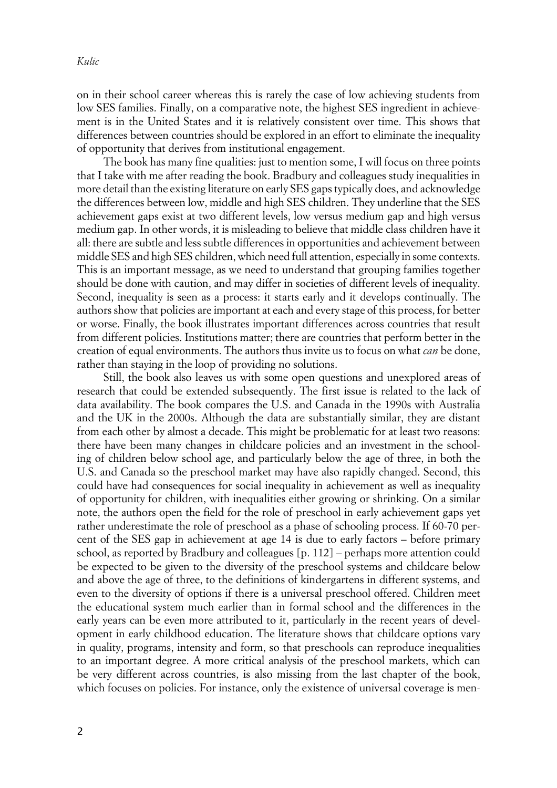on in their school career whereas this is rarely the case of low achieving students from low SES families. Finally, on a comparative note, the highest SES ingredient in achievement is in the United States and it is relatively consistent over time. This shows that differences between countries should be explored in an effort to eliminate the inequality of opportunity that derives from institutional engagement.

The book has many fine qualities: just to mention some, I will focus on three points that I take with me after reading the book. Bradbury and colleagues study inequalities in more detail than the existing literature on early SES gaps typically does, and acknowledge the differences between low, middle and high SES children. They underline that the SES achievement gaps exist at two different levels, low versus medium gap and high versus medium gap. In other words, it is misleading to believe that middle class children have it all: there are subtle and less subtle differences in opportunities and achievement between middle SES and high SES children, which need full attention, especially in some contexts. This is an important message, as we need to understand that grouping families together should be done with caution, and may differ in societies of different levels of inequality. Second, inequality is seen as a process: it starts early and it develops continually. The authors show that policies are important at each and every stage of this process, for better or worse. Finally, the book illustrates important differences across countries that result from different policies. Institutions matter; there are countries that perform better in the creation of equal environments. The authors thus invite us to focus on what *can* be done, rather than staying in the loop of providing no solutions.

Still, the book also leaves us with some open questions and unexplored areas of research that could be extended subsequently. The first issue is related to the lack of data availability. The book compares the U.S. and Canada in the 1990s with Australia and the UK in the 2000s. Although the data are substantially similar, they are distant from each other by almost a decade. This might be problematic for at least two reasons: there have been many changes in childcare policies and an investment in the schooling of children below school age, and particularly below the age of three, in both the U.S. and Canada so the preschool market may have also rapidly changed. Second, this could have had consequences for social inequality in achievement as well as inequality of opportunity for children, with inequalities either growing or shrinking. On a similar note, the authors open the field for the role of preschool in early achievement gaps yet rather underestimate the role of preschool as a phase of schooling process. If 60-70 percent of the SES gap in achievement at age 14 is due to early factors – before primary school, as reported by Bradbury and colleagues [p. 112] – perhaps more attention could be expected to be given to the diversity of the preschool systems and childcare below and above the age of three, to the definitions of kindergartens in different systems, and even to the diversity of options if there is a universal preschool offered. Children meet the educational system much earlier than in formal school and the differences in the early years can be even more attributed to it, particularly in the recent years of development in early childhood education. The literature shows that childcare options vary in quality, programs, intensity and form, so that preschools can reproduce inequalities to an important degree. A more critical analysis of the preschool markets, which can be very different across countries, is also missing from the last chapter of the book, which focuses on policies. For instance, only the existence of universal coverage is men